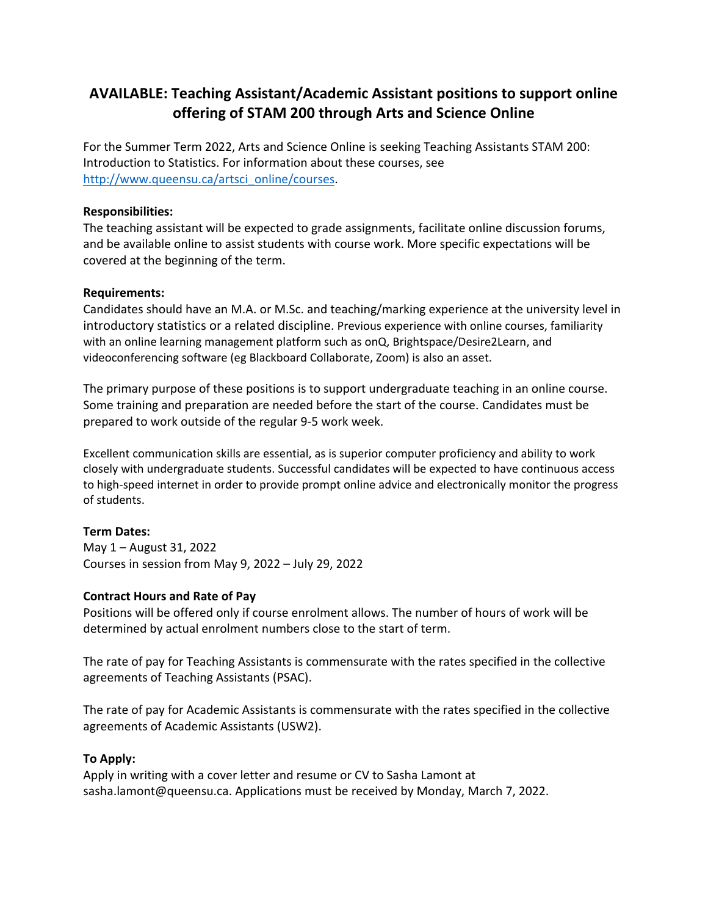# **AVAILABLE: Teaching Assistant/Academic Assistant positions to support online offering of STAM 200 through Arts and Science Online**

For the Summer Term 2022, Arts and Science Online is seeking Teaching Assistants STAM 200: Introduction to Statistics. For information about these courses, see [http://www.queensu.ca/artsci\\_online/courses.](http://www.queensu.ca/artsci_online/courses)

### **Responsibilities:**

The teaching assistant will be expected to grade assignments, facilitate online discussion forums, and be available online to assist students with course work. More specific expectations will be covered at the beginning of the term.

### **Requirements:**

Candidates should have an M.A. or M.Sc. and teaching/marking experience at the university level in introductory statistics or a related discipline. Previous experience with online courses, familiarity with an online learning management platform such as onQ, Brightspace/Desire2Learn, and videoconferencing software (eg Blackboard Collaborate, Zoom) is also an asset.

The primary purpose of these positions is to support undergraduate teaching in an online course. Some training and preparation are needed before the start of the course. Candidates must be prepared to work outside of the regular 9-5 work week.

Excellent communication skills are essential, as is superior computer proficiency and ability to work closely with undergraduate students. Successful candidates will be expected to have continuous access to high-speed internet in order to provide prompt online advice and electronically monitor the progress of students.

# **Term Dates:**

May 1 – August 31, 2022 Courses in session from May 9, 2022 – July 29, 2022

# **Contract Hours and Rate of Pay**

Positions will be offered only if course enrolment allows. The number of hours of work will be determined by actual enrolment numbers close to the start of term.

The rate of pay for Teaching Assistants is commensurate with the rates specified in the collective agreements of Teaching Assistants (PSAC).

The rate of pay for Academic Assistants is commensurate with the rates specified in the collective agreements of Academic Assistants (USW2).

#### **To Apply:**

Apply in writing with a cover letter and resume or CV to Sasha Lamont at sasha.lamont@queensu.ca. Applications must be received by Monday, March 7, 2022.